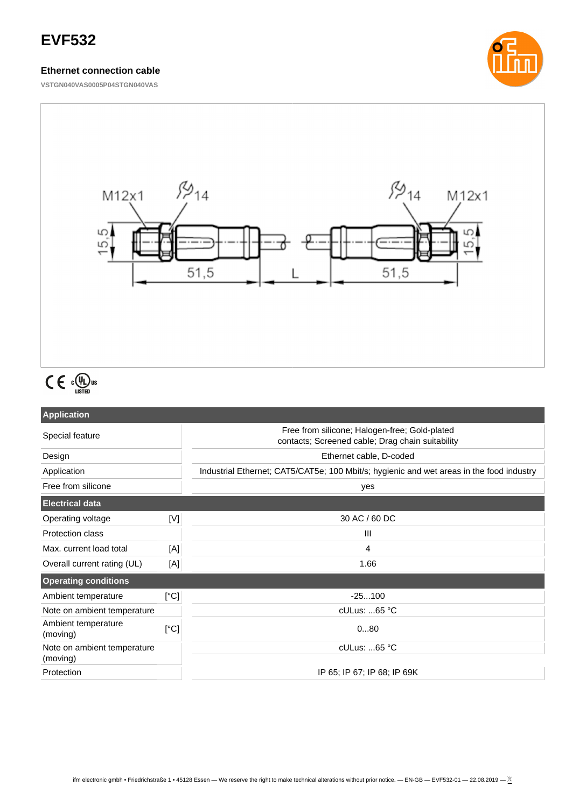## **EVF532**

#### **Ethernet connection cable**

**VSTGN040VAS0005P04STGN040VAS**





# $C \in \Omega_{\text{LISTED}}^{\text{U}}$ us

| <b>Application</b>                      |      |                                                                                                   |  |
|-----------------------------------------|------|---------------------------------------------------------------------------------------------------|--|
| Special feature                         |      | Free from silicone; Halogen-free; Gold-plated<br>contacts; Screened cable; Drag chain suitability |  |
| Design                                  |      | Ethernet cable, D-coded                                                                           |  |
| Application                             |      | Industrial Ethernet; CAT5/CAT5e; 100 Mbit/s; hygienic and wet areas in the food industry          |  |
| Free from silicone                      |      | yes                                                                                               |  |
| <b>Electrical data</b>                  |      |                                                                                                   |  |
| Operating voltage                       | [V]  | 30 AC / 60 DC                                                                                     |  |
| <b>Protection class</b>                 |      | Ш                                                                                                 |  |
| Max. current load total                 | [A]  | 4                                                                                                 |  |
| Overall current rating (UL)             | [A]  | 1.66                                                                                              |  |
| <b>Operating conditions</b>             |      |                                                                                                   |  |
| Ambient temperature                     | [°C] | $-25100$                                                                                          |  |
| Note on ambient temperature             |      | cULus: 65 °C                                                                                      |  |
| Ambient temperature<br>(moving)         | [°C] | 080                                                                                               |  |
| Note on ambient temperature<br>(moving) |      | $c$ ULus: 65 °C                                                                                   |  |
| Protection                              |      | IP 65; IP 67; IP 68; IP 69K                                                                       |  |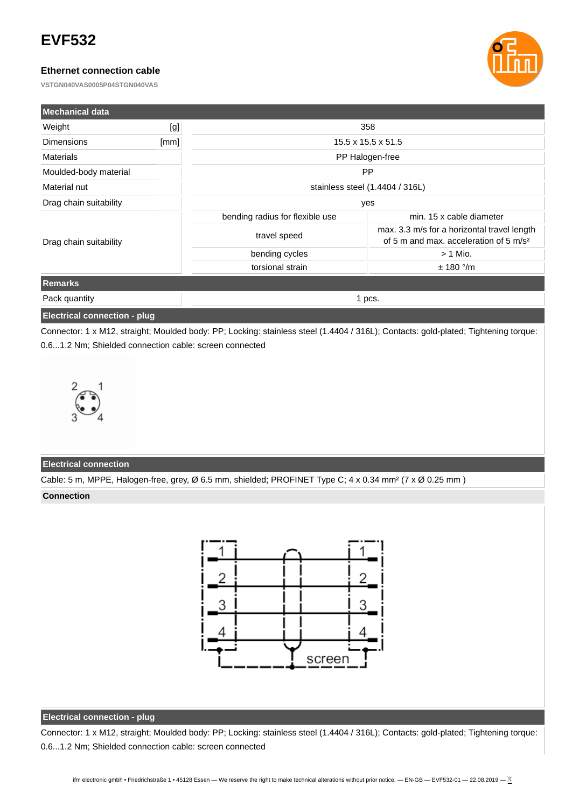## **EVF532**

#### **Ethernet connection cable**

**VSTGN040VAS0005P04STGN040VAS**



| Mechanical data                     |      |                                 |                                                                                                   |  |
|-------------------------------------|------|---------------------------------|---------------------------------------------------------------------------------------------------|--|
| Weight                              | [g]  | 358                             |                                                                                                   |  |
| <b>Dimensions</b>                   | [mm] | $15.5 \times 15.5 \times 51.5$  |                                                                                                   |  |
| <b>Materials</b>                    |      | PP Halogen-free                 |                                                                                                   |  |
| Moulded-body material               |      | <b>PP</b>                       |                                                                                                   |  |
| Material nut                        |      | stainless steel (1.4404 / 316L) |                                                                                                   |  |
| Drag chain suitability              |      | yes                             |                                                                                                   |  |
| Drag chain suitability              |      | bending radius for flexible use | min. 15 x cable diameter                                                                          |  |
|                                     |      | travel speed                    | max. 3.3 m/s for a horizontal travel length<br>of 5 m and max, acceleration of 5 m/s <sup>2</sup> |  |
|                                     |      | bending cycles                  | $> 1$ Mio.                                                                                        |  |
|                                     |      | torsional strain                | $± 180$ °/m                                                                                       |  |
| <b>Remarks</b>                      |      |                                 |                                                                                                   |  |
| Pack quantity                       |      | 1 pcs.                          |                                                                                                   |  |
| <b>Electrical connection - plug</b> |      |                                 |                                                                                                   |  |

Connector: 1 x M12, straight; Moulded body: PP; Locking: stainless steel (1.4404 / 316L); Contacts: gold-plated; Tightening torque: 0.6...1.2 Nm; Shielded connection cable: screen connected



### **Electrical connection**

Cable: 5 m, MPPE, Halogen-free, grey, Ø 6.5 mm, shielded; PROFINET Type C; 4 x 0.34 mm² (7 x Ø 0.25 mm )

**Connection**



#### **Electrical connection - plug**

Connector: 1 x M12, straight; Moulded body: PP; Locking: stainless steel (1.4404 / 316L); Contacts: gold-plated; Tightening torque: 0.6...1.2 Nm; Shielded connection cable: screen connected